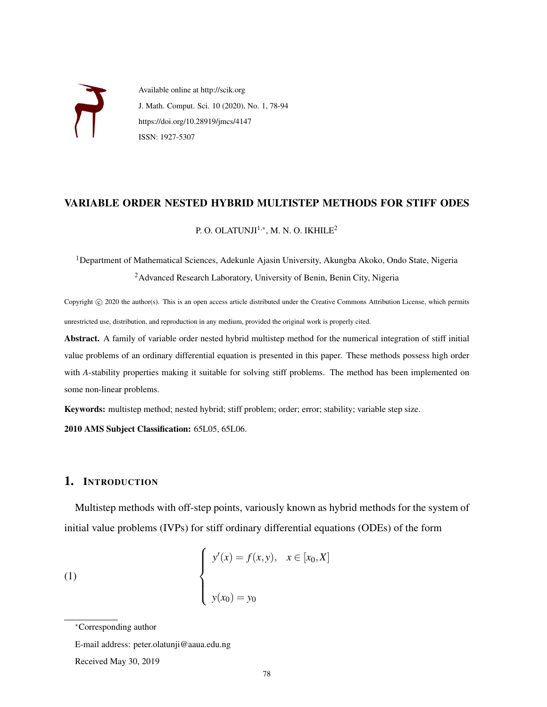

Available online at http://scik.org J. Math. Comput. Sci. 10 (2020), No. 1, 78-94 https://doi.org/10.28919/jmcs/4147 ISSN: 1927-5307

### VARIABLE ORDER NESTED HYBRID MULTISTEP METHODS FOR STIFF ODES

P. O. OLATUNJI $1, *$ , M. N. O. IKHILE<sup>2</sup>

<sup>1</sup>Department of Mathematical Sciences, Adekunle Ajasin University, Akungba Akoko, Ondo State, Nigeria <sup>2</sup> Advanced Research Laboratory, University of Benin, Benin City, Nigeria

Copyright © 2020 the author(s). This is an open access article distributed under the Creative Commons Attribution License, which permits unrestricted use, distribution, and reproduction in any medium, provided the original work is properly cited.

Abstract. A family of variable order nested hybrid multistep method for the numerical integration of stiff initial value problems of an ordinary differential equation is presented in this paper. These methods possess high order with *A*-stability properties making it suitable for solving stiff problems. The method has been implemented on some non-linear problems.

Keywords: multistep method; nested hybrid; stiff problem; order; error; stability; variable step size.

2010 AMS Subject Classification: 65L05, 65L06.

## 1. INTRODUCTION

Multistep methods with off-step points, variously known as hybrid methods for the system of initial value problems (IVPs) for stiff ordinary differential equations (ODEs) of the form

(1) 
$$
\begin{cases} y'(x) = f(x, y), & x \in [x_0, X] \\ y(x_0) = y_0 \end{cases}
$$

E-mail address: peter.olatunji@aaua.edu.ng

Received May 30, 2019

<sup>∗</sup>Corresponding author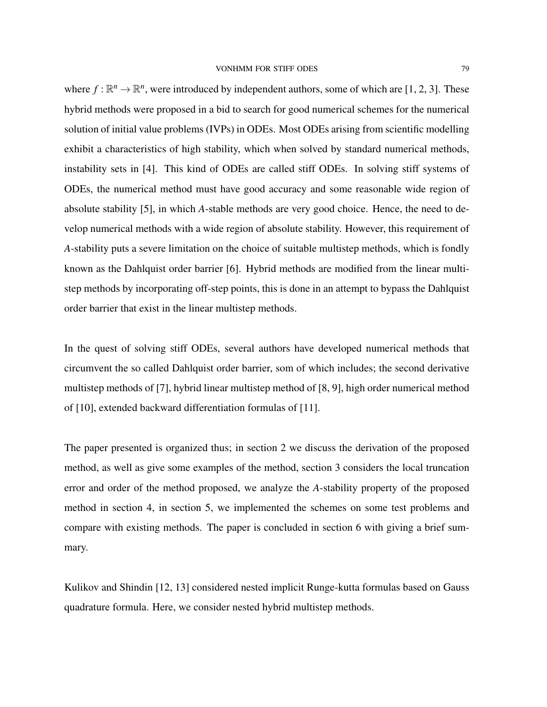where  $f: \mathbb{R}^n \to \mathbb{R}^n$ , were introduced by independent authors, some of which are [1, 2, 3]. These hybrid methods were proposed in a bid to search for good numerical schemes for the numerical solution of initial value problems (IVPs) in ODEs. Most ODEs arising from scientific modelling exhibit a characteristics of high stability, which when solved by standard numerical methods, instability sets in [4]. This kind of ODEs are called stiff ODEs. In solving stiff systems of ODEs, the numerical method must have good accuracy and some reasonable wide region of absolute stability [5], in which *A*-stable methods are very good choice. Hence, the need to develop numerical methods with a wide region of absolute stability. However, this requirement of *A*-stability puts a severe limitation on the choice of suitable multistep methods, which is fondly known as the Dahlquist order barrier [6]. Hybrid methods are modified from the linear multistep methods by incorporating off-step points, this is done in an attempt to bypass the Dahlquist order barrier that exist in the linear multistep methods.

In the quest of solving stiff ODEs, several authors have developed numerical methods that circumvent the so called Dahlquist order barrier, som of which includes; the second derivative multistep methods of [7], hybrid linear multistep method of [8, 9], high order numerical method of [10], extended backward differentiation formulas of [11].

The paper presented is organized thus; in section 2 we discuss the derivation of the proposed method, as well as give some examples of the method, section 3 considers the local truncation error and order of the method proposed, we analyze the *A*-stability property of the proposed method in section 4, in section 5, we implemented the schemes on some test problems and compare with existing methods. The paper is concluded in section 6 with giving a brief summary.

Kulikov and Shindin [12, 13] considered nested implicit Runge-kutta formulas based on Gauss quadrature formula. Here, we consider nested hybrid multistep methods.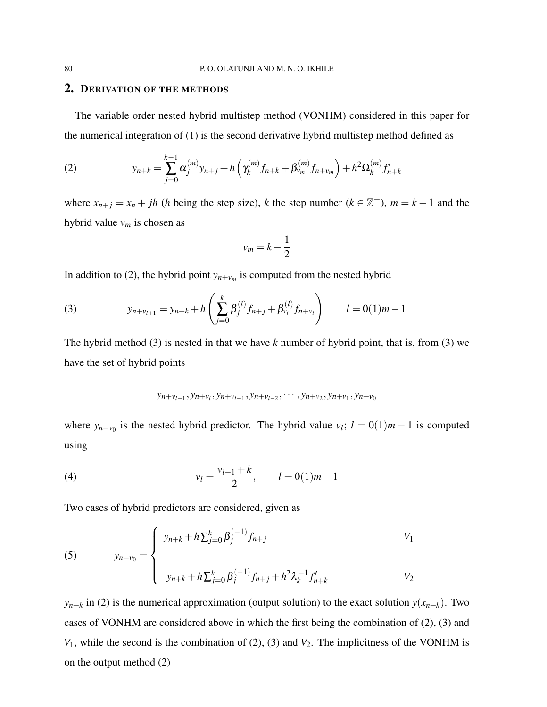#### 2. DERIVATION OF THE METHODS

The variable order nested hybrid multistep method (VONHM) considered in this paper for the numerical integration of (1) is the second derivative hybrid multistep method defined as

(2) 
$$
y_{n+k} = \sum_{j=0}^{k-1} \alpha_j^{(m)} y_{n+j} + h \left( \gamma_k^{(m)} f_{n+k} + \beta_{\nu_m}^{(m)} f_{n+\nu_m} \right) + h^2 \Omega_k^{(m)} f'_{n+k}
$$

where  $x_{n+j} = x_n + jh$  (*h* being the step size), *k* the step number ( $k \in \mathbb{Z}^+$ ),  $m = k - 1$  and the hybrid value *v<sup>m</sup>* is chosen as

$$
v_m = k - \frac{1}{2}
$$

In addition to (2), the hybrid point  $y_{n+v_m}$  is computed from the nested hybrid

(3) 
$$
y_{n+v_{l+1}} = y_{n+k} + h\left(\sum_{j=0}^{k} \beta_j^{(l)} f_{n+j} + \beta_{v_l}^{(l)} f_{n+v_l}\right) \qquad l = 0(1)m - 1
$$

The hybrid method (3) is nested in that we have *k* number of hybrid point, that is, from (3) we have the set of hybrid points

$$
y_{n+v_{l+1}}, y_{n+v_l}, y_{n+v_{l-1}}, y_{n+v_{l-2}}, \cdots, y_{n+v_2}, y_{n+v_1}, y_{n+v_0}
$$

where  $y_{n+v_0}$  is the nested hybrid predictor. The hybrid value  $v_l$ ;  $l = 0(1)m - 1$  is computed using

(4) 
$$
v_l = \frac{v_{l+1} + k}{2}, \qquad l = 0(1)m - 1
$$

Two cases of hybrid predictors are considered, given as

(5) 
$$
y_{n+v_0} = \begin{cases} y_{n+k} + h \sum_{j=0}^k \beta_j^{(-1)} f_{n+j} & V_1 \\ y_{n+k} + h \sum_{j=0}^k \beta_j^{(-1)} f_{n+j} + h^2 \lambda_k^{-1} f'_{n+k} & V_2 \end{cases}
$$

 $y_{n+k}$  in (2) is the numerical approximation (output solution) to the exact solution  $y(x_{n+k})$ . Two cases of VONHM are considered above in which the first being the combination of (2), (3) and *V*<sub>1</sub>, while the second is the combination of (2), (3) and *V*<sub>2</sub>. The implicitness of the VONHM is on the output method (2)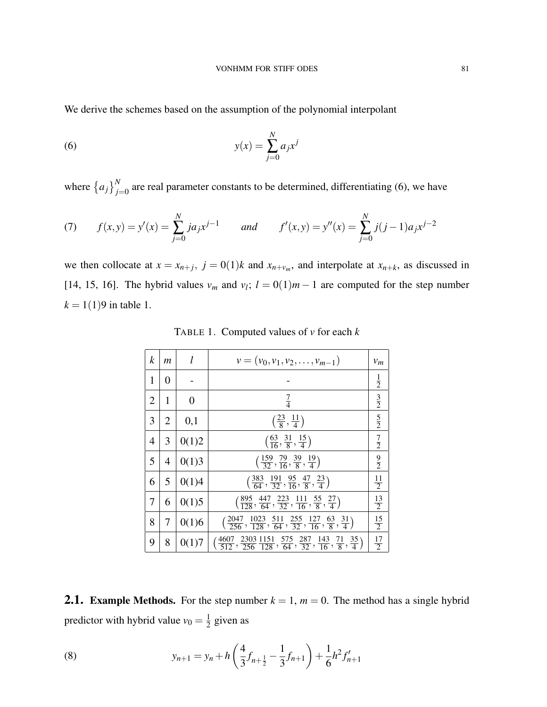We derive the schemes based on the assumption of the polynomial interpolant

(6) 
$$
y(x) = \sum_{j=0}^{N} a_j x^j
$$

where  ${a_j}_{j=0}^N$  are real parameter constants to be determined, differentiating (6), we have

(7) 
$$
f(x,y) = y'(x) = \sum_{j=0}^{N} ja_j x^{j-1}
$$
 and  $f'(x,y) = y''(x) = \sum_{j=0}^{N} j(j-1)a_j x^{j-2}$ 

we then collocate at  $x = x_{n+j}$ ,  $j = 0(1)k$  and  $x_{n+v_m}$ , and interpolate at  $x_{n+k}$ , as discussed in [14, 15, 16]. The hybrid values  $v_m$  and  $v_l$ ;  $l = 0(1)m - 1$  are computed for the step number  $k = 1(1)9$  in table 1.

| k              | $\mathfrak{m}$ | l              | $v = (v_0, v_1, v_2, \ldots, v_{m-1})$                                                                                                          | $v_m$          |
|----------------|----------------|----------------|-------------------------------------------------------------------------------------------------------------------------------------------------|----------------|
| 1              | $\theta$       |                |                                                                                                                                                 | $\frac{1}{2}$  |
| $\overline{2}$ | 1              | $\overline{0}$ | $rac{7}{4}$                                                                                                                                     | $rac{3}{2}$    |
| 3              | $\overline{2}$ | 0,1            | $\left(\frac{23}{8},\frac{11}{4}\right)$                                                                                                        | $rac{5}{2}$    |
| 4              | 3              | 0(1)2          | $\left(\frac{63}{16}, \frac{31}{8}, \frac{15}{4}\right)$                                                                                        | $\frac{7}{2}$  |
| 5              | $\overline{4}$ | 0(1)3          | $\left(\frac{159}{32}, \frac{79}{16}, \frac{39}{8}, \frac{19}{4}\right)$                                                                        | $\frac{9}{2}$  |
| 6              | 5              | 0(1)4          | $\left(\frac{383}{64}, \frac{191}{32}, \frac{95}{16}, \frac{47}{8}, \frac{23}{4}\right)$                                                        | $\frac{11}{2}$ |
| 7              | 6              | 0(1)5          | $\left(\frac{895}{128}, \frac{447}{64}, \frac{223}{32}, \frac{111}{16}, \frac{55}{8}, \frac{27}{4}\right)$                                      | $\frac{13}{2}$ |
| 8              | 7              | 0(1)6          | $\left(\frac{2047}{256}, \frac{1023}{128}, \frac{511}{64}, \frac{255}{32}, \frac{127}{16}, \frac{63}{8}, \frac{31}{4}\right)$                   | $\frac{15}{2}$ |
| 9              | 8              | 0(1)7          | $\left(\frac{4607}{512}, \frac{2303}{256}, \frac{1151}{128}, \frac{575}{64}, \frac{287}{32}, \frac{143}{16}, \frac{71}{8}, \frac{35}{4}\right)$ | $\frac{17}{2}$ |

TABLE 1. Computed values of *v* for each *k*

**2.1.** Example Methods. For the step number  $k = 1$ ,  $m = 0$ . The method has a single hybrid predictor with hybrid value  $v_0 = \frac{1}{2}$  $\frac{1}{2}$  given as

(8) 
$$
y_{n+1} = y_n + h\left(\frac{4}{3}f_{n+\frac{1}{2}} - \frac{1}{3}f_{n+1}\right) + \frac{1}{6}h^2 f'_{n+1}
$$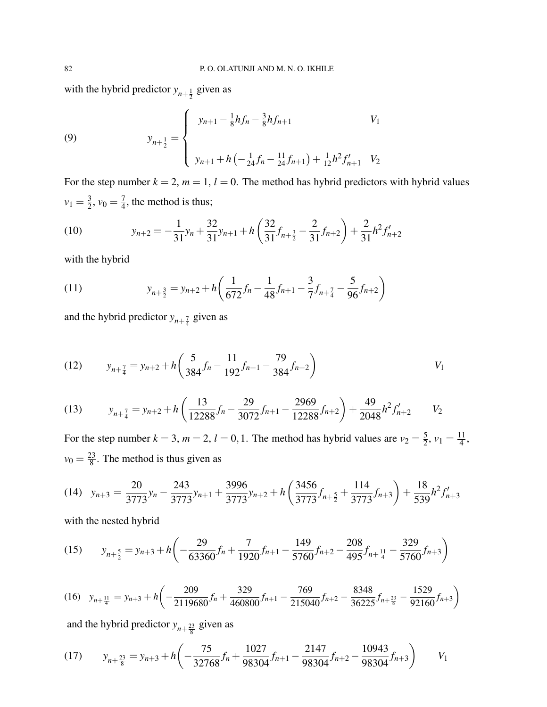with the hybrid predictor  $y_{n+\frac{1}{2}}$  given as

(9) 
$$
y_{n+\frac{1}{2}} = \begin{cases} y_{n+1} - \frac{1}{8}hf_n - \frac{3}{8}hf_{n+1} & V_1 \\ y_{n+1} + h\left(-\frac{1}{24}f_n - \frac{11}{24}f_{n+1}\right) + \frac{1}{12}h^2f'_{n+1} & V_2 \end{cases}
$$

For the step number  $k = 2$ ,  $m = 1$ ,  $l = 0$ . The method has hybrid predictors with hybrid values  $v_1 = \frac{3}{2}$  $\frac{3}{2}$ ,  $v_0 = \frac{7}{4}$  $\frac{7}{4}$ , the method is thus;

(10) 
$$
y_{n+2} = -\frac{1}{31}y_n + \frac{32}{31}y_{n+1} + h\left(\frac{32}{31}f_{n+\frac{3}{2}} - \frac{2}{31}f_{n+2}\right) + \frac{2}{31}h^2f'_{n+2}
$$

with the hybrid

(11) 
$$
y_{n+\frac{3}{2}} = y_{n+2} + h \left( \frac{1}{672} f_n - \frac{1}{48} f_{n+1} - \frac{3}{7} f_{n+\frac{7}{4}} - \frac{5}{96} f_{n+2} \right)
$$

and the hybrid predictor  $y_{n+\frac{7}{4}}$  given as

(12) 
$$
y_{n+\frac{7}{4}} = y_{n+2} + h \left( \frac{5}{384} f_n - \frac{11}{192} f_{n+1} - \frac{79}{384} f_{n+2} \right)
$$

(13) 
$$
y_{n+\frac{7}{4}} = y_{n+2} + h \left( \frac{13}{12288} f_n - \frac{29}{3072} f_{n+1} - \frac{2969}{12288} f_{n+2} \right) + \frac{49}{2048} h^2 f'_{n+2} \qquad V_2
$$

For the step number  $k = 3$ ,  $m = 2$ ,  $l = 0, 1$ . The method has hybrid values are  $v_2 = \frac{5}{2}$  $\frac{5}{2}$ ,  $v_1 = \frac{11}{4}$  $\frac{11}{4}$ ,  $v_0 = \frac{23}{8}$  $\frac{23}{8}$ . The method is thus given as

$$
(14) \quad y_{n+3} = \frac{20}{3773}y_n - \frac{243}{3773}y_{n+1} + \frac{3996}{3773}y_{n+2} + h\left(\frac{3456}{3773}f_{n+\frac{5}{2}} + \frac{114}{3773}f_{n+3}\right) + \frac{18}{539}h^2f'_{n+3}
$$

with the nested hybrid

(15) 
$$
y_{n+\frac{5}{2}} = y_{n+3} + h \left( -\frac{29}{63360} f_n + \frac{7}{1920} f_{n+1} - \frac{149}{5760} f_{n+2} - \frac{208}{495} f_{n+\frac{11}{4}} - \frac{329}{5760} f_{n+3} \right)
$$

$$
(16)\quad y_{n+\frac{11}{4}} = y_{n+3} + h \left( -\frac{209}{2119680} f_n + \frac{329}{460800} f_{n+1} - \frac{769}{215040} f_{n+2} - \frac{8348}{36225} f_{n+\frac{23}{8}} - \frac{1529}{92160} f_{n+3} \right)
$$

and the hybrid predictor  $y_{n+\frac{23}{8}}$  given as

(17) 
$$
y_{n+\frac{23}{8}} = y_{n+3} + h \left( -\frac{75}{32768} f_n + \frac{1027}{98304} f_{n+1} - \frac{2147}{98304} f_{n+2} - \frac{10943}{98304} f_{n+3} \right)
$$
  $V_1$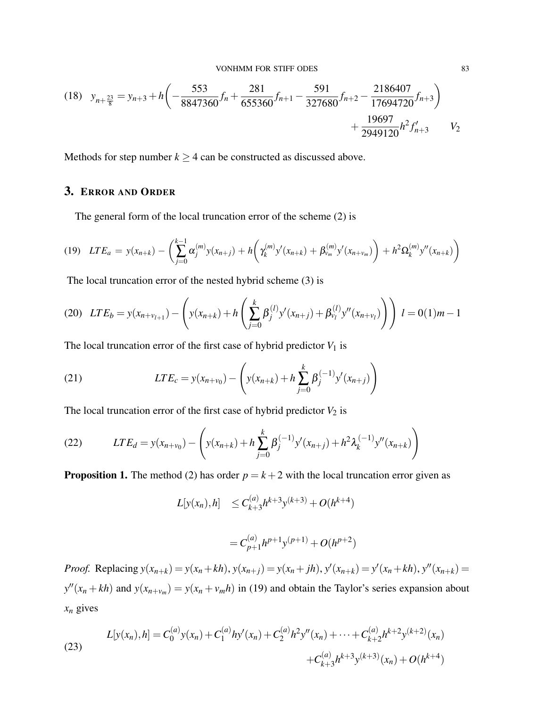$$
(18) \quad y_{n+\frac{23}{8}} = y_{n+3} + h \left( -\frac{553}{8847360} f_n + \frac{281}{655360} f_{n+1} - \frac{591}{327680} f_{n+2} - \frac{2186407}{17694720} f_{n+3} \right) + \frac{19697}{2949120} h^2 f'_{n+3} \qquad V_2
$$

Methods for step number  $k \geq 4$  can be constructed as discussed above.

## 3. ERROR AND ORDER

The general form of the local truncation error of the scheme (2) is

$$
(19) \quad LTE_a = y(x_{n+k}) - \left(\sum_{j=0}^{k-1} \alpha_j^{(m)} y(x_{n+j}) + h\left(\gamma_k^{(m)} y'(x_{n+k}) + \beta_{\nu_m}^{(m)} y'(x_{n+\nu_m})\right) + h^2 \Omega_k^{(m)} y''(x_{n+k})\right)
$$

The local truncation error of the nested hybrid scheme (3) is

$$
(20) \quad LTE_b = y(x_{n+v_{l+1}}) - \left( y(x_{n+k}) + h\left(\sum_{j=0}^k \beta_j^{(l)} y'(x_{n+j}) + \beta_{v_l}^{(l)} y''(x_{n+v_l})\right) \right) \ l = 0(1)m - 1
$$

The local truncation error of the first case of hybrid predictor  $V_1$  is

(21) 
$$
LTE_c = y(x_{n+v_0}) - \left( y(x_{n+k}) + h \sum_{j=0}^{k} \beta_j^{(-1)} y'(x_{n+j}) \right)
$$

The local truncation error of the first case of hybrid predictor  $V_2$  is

(22) 
$$
LTE_d = y(x_{n+v_0}) - \left( y(x_{n+k}) + h \sum_{j=0}^k \beta_j^{(-1)} y'(x_{n+j}) + h^2 \lambda_k^{(-1)} y''(x_{n+k}) \right)
$$

**Proposition 1.** The method (2) has order  $p = k + 2$  with the local truncation error given as

$$
L[y(x_n),h] \leq C_{k+3}^{(a)}h^{k+3}y^{(k+3)} + O(h^{k+4})
$$

$$
= C_{p+1}^{(a)} h^{p+1} y^{(p+1)} + O(h^{p+2})
$$

*Proof.* Replacing  $y(x_{n+k}) = y(x_n + kh)$ ,  $y(x_{n+j}) = y(x_n + jh)$ ,  $y'(x_{n+k}) = y'(x_n + kh)$ ,  $y''(x_{n+k}) = y(x_n + kh)$  $y''(x_n + kh)$  and  $y(x_{n+v_m}) = y(x_n + v_m h)$  in (19) and obtain the Taylor's series expansion about  $x_n$  gives

(23) 
$$
L[y(x_n), h] = C_0^{(a)}y(x_n) + C_1^{(a)}hy'(x_n) + C_2^{(a)}h^2y''(x_n) + \dots + C_{k+2}^{(a)}h^{k+2}y^{(k+2)}(x_n) + C_{k+3}^{(a)}h^{k+3}y^{(k+3)}(x_n) + O(h^{k+4})
$$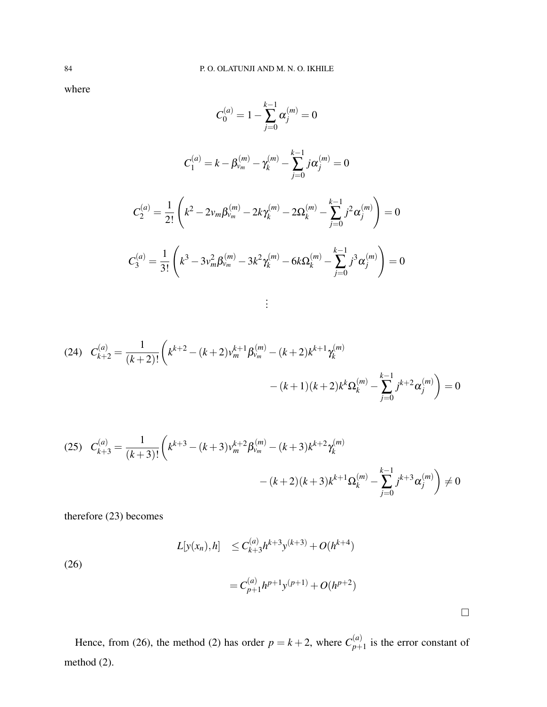where

$$
C_0^{(a)} = 1 - \sum_{j=0}^{k-1} \alpha_j^{(m)} = 0
$$

$$
C_1^{(a)} = k - \beta_{\nu_m}^{(m)} - \gamma_k^{(m)} - \sum_{j=0}^{k-1} j \alpha_j^{(m)} = 0
$$

$$
C_2^{(a)} = \frac{1}{2!} \left( k^2 - 2\nu_m \beta_{\nu_m}^{(m)} - 2k \gamma_k^{(m)} - 2\Omega_k^{(m)} - \sum_{j=0}^{k-1} j^2 \alpha_j^{(m)} \right) = 0
$$
  

$$
C_3^{(a)} = \frac{1}{3!} \left( k^3 - 3\nu_m^2 \beta_{\nu_m}^{(m)} - 3k^2 \gamma_k^{(m)} - 6k \Omega_k^{(m)} - \sum_{j=0}^{k-1} j^3 \alpha_j^{(m)} \right) = 0
$$

. . .

$$
(24) \quad C_{k+2}^{(a)} = \frac{1}{(k+2)!} \left( k^{k+2} - (k+2)v_m^{k+1} \beta_{\nu_m}^{(m)} - (k+2)k^{k+1} \gamma_k^{(m)} - (k+1)(k+2)k^k \Omega_k^{(m)} - \sum_{j=0}^{k-1} j^{k+2} \alpha_j^{(m)} \right) = 0
$$

$$
(25) \quad C_{k+3}^{(a)} = \frac{1}{(k+3)!} \left( k^{k+3} - (k+3)v_m^{k+2} \beta_{v_m}^{(m)} - (k+3)k^{k+2} \gamma_k^{(m)} - (k+2)(k+3)k^{k+1} \Omega_k^{(m)} - \sum_{j=0}^{k-1} j^{k+3} \alpha_j^{(m)} \right) \neq 0
$$

therefore (23) becomes

$$
L[y(x_n),h] \leq C_{k+3}^{(a)}h^{k+3}y^{(k+3)} + O(h^{k+4})
$$

(26)

$$
= C_{p+1}^{(a)} h^{p+1} y^{(p+1)} + O(h^{p+2})
$$

 $\hfill \square$ 

Hence, from (26), the method (2) has order  $p = k + 2$ , where  $C_{n+1}^{(a)}$  $p+1$  is the error constant of method (2).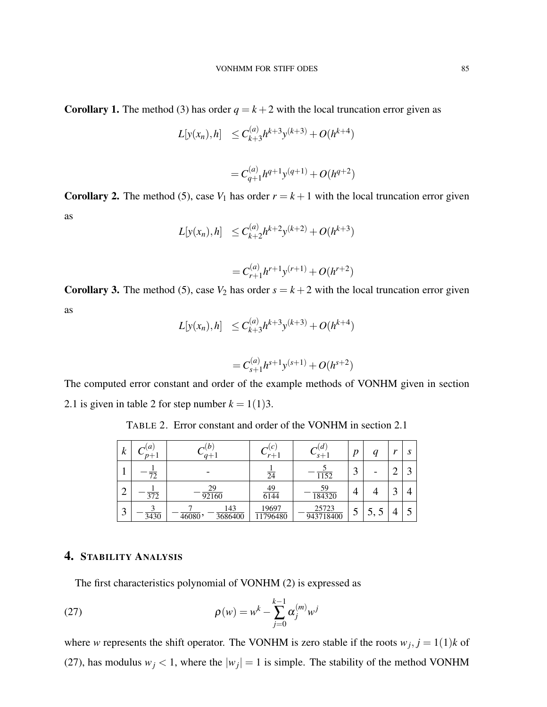**Corollary 1.** The method (3) has order  $q = k + 2$  with the local truncation error given as

$$
L[y(x_n), h] \leq C_{k+3}^{(a)}h^{k+3}y^{(k+3)} + O(h^{k+4})
$$

$$
= C_{q+1}^{(a)} h^{q+1} y^{(q+1)} + O(h^{q+2})
$$

**Corollary 2.** The method (5), case  $V_1$  has order  $r = k + 1$  with the local truncation error given as

$$
L[y(x_n),h] \leq C_{k+2}^{(a)}h^{k+2}y^{(k+2)} + O(h^{k+3})
$$

$$
= C_{r+1}^{(a)} h^{r+1} y^{(r+1)} + O(h^{r+2})
$$

**Corollary 3.** The method (5), case  $V_2$  has order  $s = k + 2$  with the local truncation error given as (*a*)

$$
L[y(x_n),h] \leq C_{k+3}^{(a)}h^{k+3}y^{(k+3)} + O(h^{k+4})
$$

$$
= C_{s+1}^{(a)} h^{s+1} y^{(s+1)} + O(h^{s+2})
$$

The computed error constant and order of the example methods of VONHM given in section 2.1 is given in table 2 for step number  $k = 1(1)3$ .

TABLE 2. Error constant and order of the VONHM in section 2.1

| $\boldsymbol{k}$ | a<br>$p+1$       | $a+1$                    | $\mathcal{C}$<br>$r+1$ | $s+1$              | n              | a                          | $T^*$ | $\mathbf{\Omega}$<br>υ   |
|------------------|------------------|--------------------------|------------------------|--------------------|----------------|----------------------------|-------|--------------------------|
|                  | 72               |                          | $\overline{24}$        | 1152               | $\bigcap$<br>3 |                            |       | $\overline{\phantom{0}}$ |
| ◠<br>↵           | $\overline{372}$ | 29<br>92160              | 49<br>6144             | 59<br>184320       |                |                            |       |                          |
| 3                | 3430             | 143<br>3686400<br>46080, | 19697<br>11796480      | 25723<br>943718400 | $\mathcal{S}$  | $\mathcal{L}, \mathcal{L}$ |       |                          |

# 4. STABILITY ANALYSIS

The first characteristics polynomial of VONHM (2) is expressed as

(27) 
$$
\rho(w) = w^k - \sum_{j=0}^{k-1} \alpha_j^{(m)} w^j
$$

where *w* represents the shift operator. The VONHM is zero stable if the roots  $w_j$ ,  $j = 1(1)k$  of (27), has modulus  $w_j < 1$ , where the  $|w_j| = 1$  is simple. The stability of the method VONHM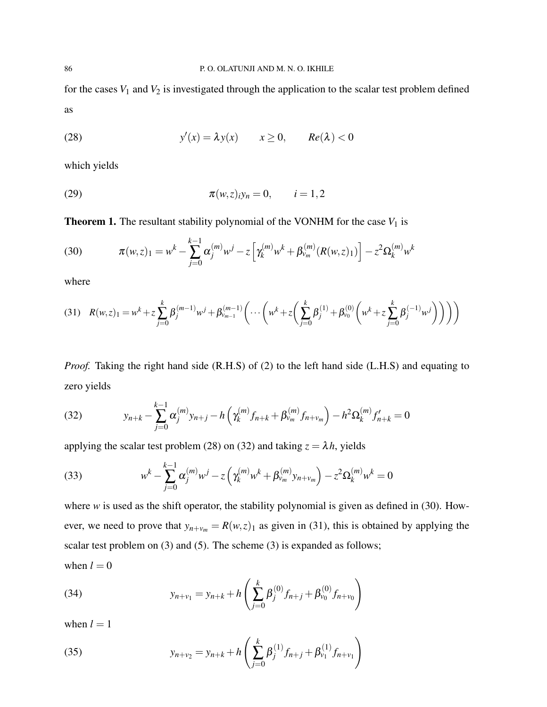for the cases  $V_1$  and  $V_2$  is investigated through the application to the scalar test problem defined as

(28) 
$$
y'(x) = \lambda y(x) \qquad x \ge 0, \qquad Re(\lambda) < 0
$$

which yields

(29) 
$$
\pi(w, z)_{i}y_n = 0, \qquad i = 1, 2
$$

**Theorem 1.** The resultant stability polynomial of the VONHM for the case  $V_1$  is

(30) 
$$
\pi(w,z)_1 = w^k - \sum_{j=0}^{k-1} \alpha_j^{(m)} w^j - z \left[ \gamma_k^{(m)} w^k + \beta_{v_m}^{(m)} (R(w,z)_1) \right] - z^2 \Omega_k^{(m)} w^k
$$

where

$$
(31) \quad R(w,z)_1 = w^k + z \sum_{j=0}^k \beta_j^{(m-1)} w^j + \beta_{v_{m-1}}^{(m-1)} \left( \cdots \left( w^k + z \left( \sum_{j=0}^k \beta_j^{(1)} + \beta_{v_0}^{(0)} \left( w^k + z \sum_{j=0}^k \beta_j^{(-1)} w^j \right) \right) \right) \right)
$$

*Proof.* Taking the right hand side (R.H.S) of (2) to the left hand side (L.H.S) and equating to zero yields

(32) 
$$
y_{n+k} - \sum_{j=0}^{k-1} \alpha_j^{(m)} y_{n+j} - h \left( \gamma_k^{(m)} f_{n+k} + \beta_{v_m}^{(m)} f_{n+v_m} \right) - h^2 \Omega_k^{(m)} f'_{n+k} = 0
$$

applying the scalar test problem (28) on (32) and taking  $z = \lambda h$ , yields

(33) 
$$
w^{k} - \sum_{j=0}^{k-1} \alpha_{j}^{(m)} w^{j} - z \left( \gamma_{k}^{(m)} w^{k} + \beta_{\nu_{m}}^{(m)} y_{n+\nu_{m}} \right) - z^{2} \Omega_{k}^{(m)} w^{k} = 0
$$

where *w* is used as the shift operator, the stability polynomial is given as defined in (30). However, we need to prove that  $y_{n+v_m} = R(w, z)_1$  as given in (31), this is obtained by applying the scalar test problem on (3) and (5). The scheme (3) is expanded as follows;

when  $l = 0$ 

(34) 
$$
y_{n+v_1} = y_{n+k} + h\left(\sum_{j=0}^k \beta_j^{(0)} f_{n+j} + \beta_{v_0}^{(0)} f_{n+v_0}\right)
$$

when  $l = 1$ 

(35) 
$$
y_{n+v_2} = y_{n+k} + h\left(\sum_{j=0}^k \beta_j^{(1)} f_{n+j} + \beta_{\nu_1}^{(1)} f_{n+\nu_1}\right)
$$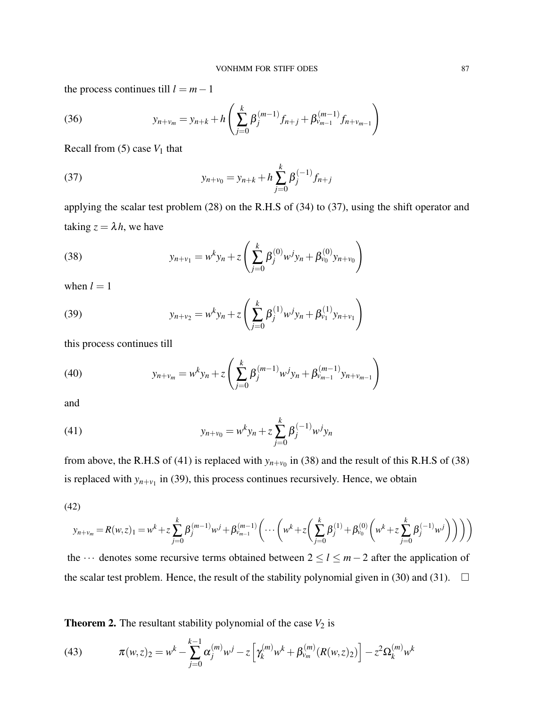the process continues till  $l = m - 1$ 

(36) 
$$
y_{n+v_m} = y_{n+k} + h \left( \sum_{j=0}^{k} \beta_j^{(m-1)} f_{n+j} + \beta_{v_{m-1}}^{(m-1)} f_{n+v_{m-1}} \right)
$$

Recall from  $(5)$  case  $V_1$  that

(37) 
$$
y_{n+v_0} = y_{n+k} + h \sum_{j=0}^{k} \beta_j^{(-1)} f_{n+j}
$$

applying the scalar test problem (28) on the R.H.S of (34) to (37), using the shift operator and taking  $z = \lambda h$ , we have

(38) 
$$
y_{n+v_1} = w^k y_n + z \left( \sum_{j=0}^k \beta_j^{(0)} w^j y_n + \beta_{v_0}^{(0)} y_{n+v_0} \right)
$$

when  $l = 1$ 

(39) 
$$
y_{n+v_2} = w^k y_n + z \left( \sum_{j=0}^k \beta_j^{(1)} w^j y_n + \beta_{v_1}^{(1)} y_{n+v_1} \right)
$$

this process continues till

(40) 
$$
y_{n+v_m} = w^k y_n + z \left( \sum_{j=0}^k \beta_j^{(m-1)} w^j y_n + \beta_{v_{m-1}}^{(m-1)} y_{n+v_{m-1}} \right)
$$

and

(41) 
$$
y_{n+v_0} = w^k y_n + z \sum_{j=0}^k \beta_j^{(-1)} w^j y_n
$$

from above, the R.H.S of (41) is replaced with  $y_{n+v_0}$  in (38) and the result of this R.H.S of (38) is replaced with  $y_{n+v_1}$  in (39), this process continues recursively. Hence, we obtain

(42)

$$
y_{n+v_m} = R(w, z)_1 = w^k + z \sum_{j=0}^k \beta_j^{(m-1)} w^j + \beta_{v_{m-1}}^{(m-1)} \left( \cdots \left( w^k + z \left( \sum_{j=0}^k \beta_j^{(1)} + \beta_{v_0}^{(0)} \left( w^k + z \sum_{j=0}^k \beta_j^{(-1)} w^j \right) \right) \right) \right)
$$

the ··· denotes some recursive terms obtained between 2 ≤ *l* ≤ *m*−2 after the application of the scalar test problem. Hence, the result of the stability polynomial given in (30) and (31).  $\Box$ 

**Theorem 2.** The resultant stability polynomial of the case  $V_2$  is

(43) 
$$
\pi(w,z)_2 = w^k - \sum_{j=0}^{k-1} \alpha_j^{(m)} w^j - z \left[ \gamma_k^{(m)} w^k + \beta_{v_m}^{(m)} (R(w,z)_2) \right] - z^2 \Omega_k^{(m)} w^k
$$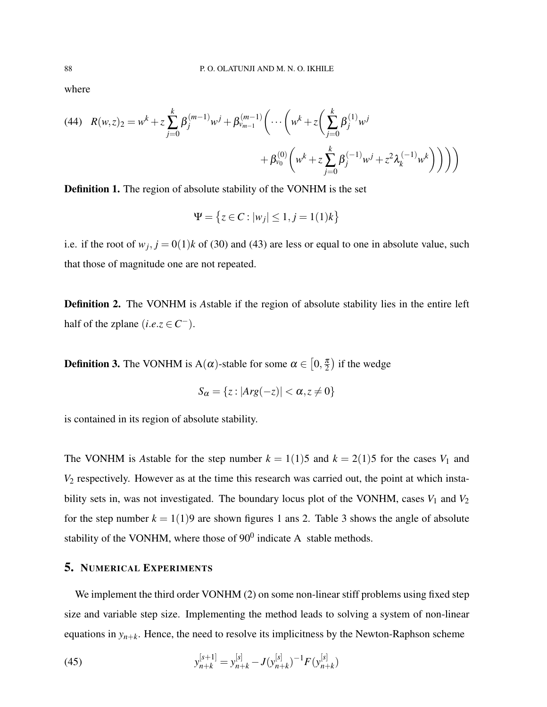where

(44) 
$$
R(w,z)_{2} = w^{k} + z \sum_{j=0}^{k} \beta_{j}^{(m-1)} w^{j} + \beta_{v_{m-1}}^{(m-1)} \left( \cdots \left( w^{k} + z \left( \sum_{j=0}^{k} \beta_{j}^{(1)} w^{j} + \beta_{v_{0}}^{(0)} \left( w^{k} + z \sum_{j=0}^{k} \beta_{j}^{(-1)} w^{j} + z^{2} \lambda_{k}^{(-1)} w^{k} \right) \right) \right) \right)
$$

Definition 1. The region of absolute stability of the VONHM is the set

$$
\Psi = \{ z \in C : |w_j| \le 1, j = 1(1)k \}
$$

i.e. if the root of  $w_j$ ,  $j = 0(1)k$  of (30) and (43) are less or equal to one in absolute value, such that those of magnitude one are not repeated.

Definition 2. The VONHM is *A*stable if the region of absolute stability lies in the entire left half of the zplane  $(i.e. z \in C^-)$ .

**Definition 3.** The VONHM is A( $\alpha$ )-stable for some  $\alpha \in [0, \frac{\pi}{2}]$  $\frac{\pi}{2}$ ) if the wedge

$$
S_{\alpha} = \{z : |Arg(-z)| < \alpha, z \neq 0\}
$$

is contained in its region of absolute stability.

The VONHM is *A*stable for the step number  $k = 1(1)5$  and  $k = 2(1)5$  for the cases  $V_1$  and *V*<sup>2</sup> respectively. However as at the time this research was carried out, the point at which instability sets in, was not investigated. The boundary locus plot of the VONHM, cases  $V_1$  and  $V_2$ for the step number  $k = 1(1)9$  are shown figures 1 ans 2. Table 3 shows the angle of absolute stability of the VONHM, where those of  $90^0$  indicate A stable methods.

# 5. NUMERICAL EXPERIMENTS

We implement the third order VONHM (2) on some non-linear stiff problems using fixed step size and variable step size. Implementing the method leads to solving a system of non-linear equations in *yn*+*<sup>k</sup>* . Hence, the need to resolve its implicitness by the Newton-Raphson scheme

(45) 
$$
y_{n+k}^{[s+1]} = y_{n+k}^{[s]} - J(y_{n+k}^{[s]})^{-1} F(y_{n+k}^{[s]})
$$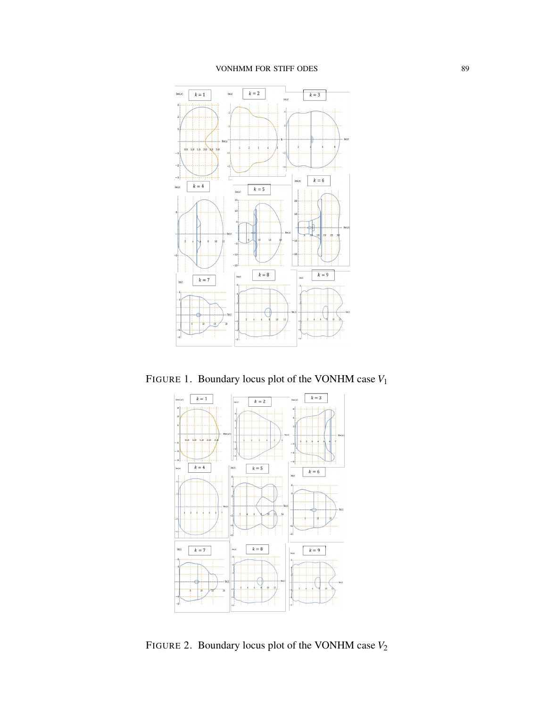### VONHMM FOR STIFF ODES 89



FIGURE 1. Boundary locus plot of the VONHM case *V*<sup>1</sup>



FIGURE 2. Boundary locus plot of the VONHM case *V*<sup>2</sup>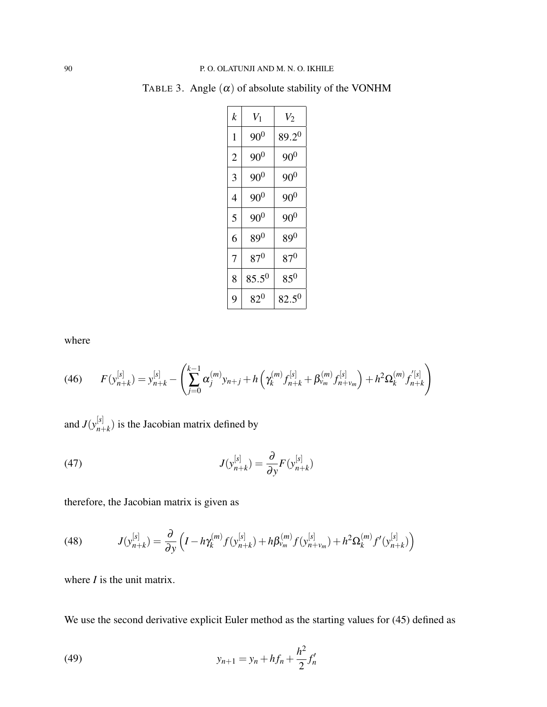| k              | $V_1$      | $V_2$      |
|----------------|------------|------------|
| 1              | $90^0$     | $89.2^{0}$ |
| $\overline{2}$ | $90^{0}$   | $90^{0}$   |
| 3              | $90^{0}$   | $90^0$     |
| 4              | $90^0$     | $90^{0}$   |
| 5              | $90^{0}$   | $90^0$     |
| 6              | $89^0$     | $89^{0}$   |
| 7              | $87^{0}$   | $87^0$     |
| 8              | $85.5^{0}$ | $85^0$     |
| 9              | $82^0$     | $82.5^{0}$ |

TABLE 3. Angle  $(\alpha)$  of absolute stability of the VONHM

where

$$
(46) \qquad F(y_{n+k}^{[s]}) = y_{n+k}^{[s]} - \left(\sum_{j=0}^{k-1} \alpha_j^{(m)} y_{n+j} + h\left(\gamma_k^{(m)} f_{n+k}^{[s]} + \beta_{\nu_m}^{(m)} f_{n+\nu_m}^{[s]}\right) + h^2 \Omega_k^{(m)} f_{n+k}^{[s]}\right)
$$

and  $J(y_{n+1}^{[s]})$  $\binom{N}{n+k}$  is the Jacobian matrix defined by

(47) 
$$
J(y_{n+k}^{[s]}) = \frac{\partial}{\partial y} F(y_{n+k}^{[s]})
$$

therefore, the Jacobian matrix is given as

(48) 
$$
J(y_{n+k}^{[s]}) = \frac{\partial}{\partial y} \left( I - h \gamma_k^{(m)} f(y_{n+k}^{[s]}) + h \beta_{\nu_m}^{(m)} f(y_{n+\nu_m}^{[s]}) + h^2 \Omega_k^{(m)} f'(y_{n+k}^{[s]}) \right)
$$

where *I* is the unit matrix.

We use the second derivative explicit Euler method as the starting values for  $(45)$  defined as

(49) 
$$
y_{n+1} = y_n + h f_n + \frac{h^2}{2} f'_n
$$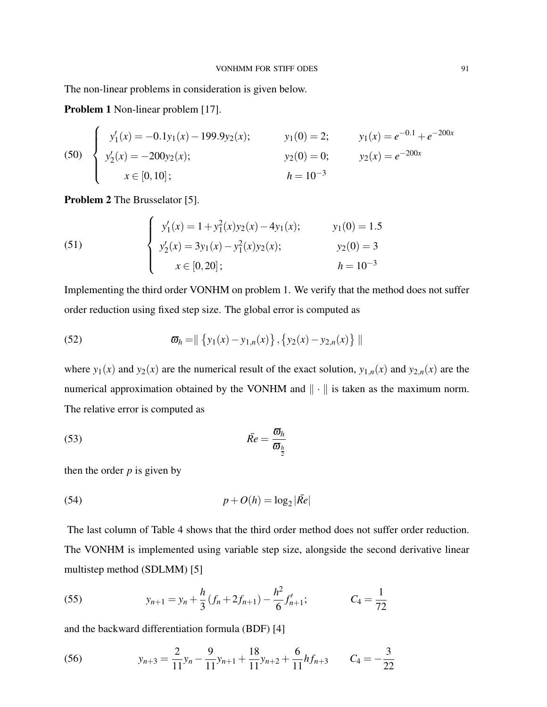The non-linear problems in consideration is given below.

Problem 1 Non-linear problem [17].

(50) 
$$
\begin{cases} y'_1(x) = -0.1y_1(x) - 199.9y_2(x); & y_1(0) = 2; & y_1(x) = e^{-0.1} + e^{-200x} \\ y'_2(x) = -200y_2(x); & y_2(0) = 0; & y_2(x) = e^{-200x} \\ x \in [0, 10]; & h = 10^{-3} \end{cases}
$$

Problem 2 The Brusselator [5].

(51)  

$$
\begin{cases}\ny'_1(x) = 1 + y_1^2(x)y_2(x) - 4y_1(x); & y_1(0) = 1.5 \\
y'_2(x) = 3y_1(x) - y_1^2(x)y_2(x); & y_2(0) = 3 \\
x \in [0, 20]; & h = 10^{-3}\n\end{cases}
$$

Implementing the third order VONHM on problem 1. We verify that the method does not suffer order reduction using fixed step size. The global error is computed as

(52) 
$$
\varpi_h = || \{ y_1(x) - y_{1,n}(x) \}, \{ y_2(x) - y_{2,n}(x) \} ||
$$

where  $y_1(x)$  and  $y_2(x)$  are the numerical result of the exact solution,  $y_{1,n}(x)$  and  $y_{2,n}(x)$  are the numerical approximation obtained by the VONHM and  $\|\cdot\|$  is taken as the maximum norm. The relative error is computed as

$$
\bar{Re} = \frac{\overline{\omega}_h}{\overline{\omega}_{\frac{h}{2}}}
$$

then the order  $p$  is given by

$$
(54) \t\t\t p + O(h) = \log_2 |\bar{Re}|
$$

The last column of Table 4 shows that the third order method does not suffer order reduction. The VONHM is implemented using variable step size, alongside the second derivative linear multistep method (SDLMM) [5]

(55) 
$$
y_{n+1} = y_n + \frac{h}{3} (f_n + 2f_{n+1}) - \frac{h^2}{6} f'_{n+1}; \qquad C_4 = \frac{1}{72}
$$

and the backward differentiation formula (BDF) [4]

(56) 
$$
y_{n+3} = \frac{2}{11}y_n - \frac{9}{11}y_{n+1} + \frac{18}{11}y_{n+2} + \frac{6}{11}hf_{n+3} \qquad C_4 = -\frac{3}{22}
$$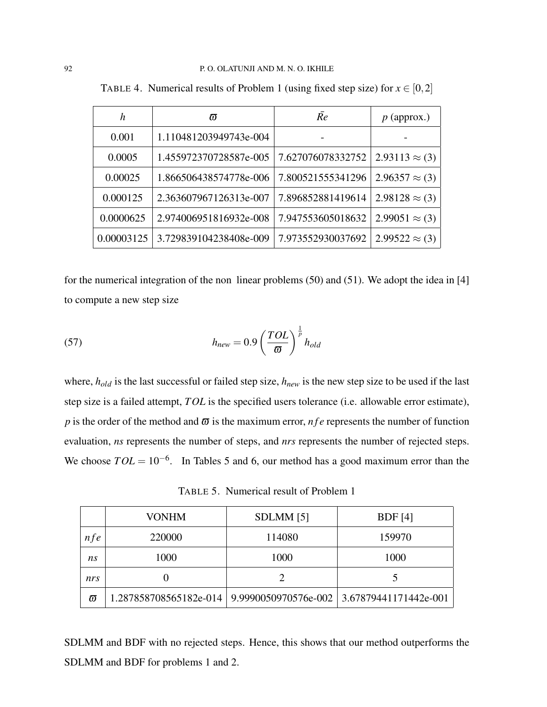| h          | កា                     | Re                | $p$ (approx.)         |
|------------|------------------------|-------------------|-----------------------|
| 0.001      | 1.110481203949743e-004 |                   |                       |
| 0.0005     | 1.455972370728587e-005 | 7.627076078332752 | $2.93113 \approx (3)$ |
| 0.00025    | 1.866506438574778e-006 | 7.800521555341296 | $2.96357 \approx (3)$ |
| 0.000125   | 2.363607967126313e-007 | 7.896852881419614 | $2.98128 \approx (3)$ |
| 0.0000625  | 2.974006951816932e-008 | 7.947553605018632 | $2.99051 \approx (3)$ |
| 0.00003125 | 3.729839104238408e-009 | 7.973552930037692 | $2.99522 \approx (3)$ |

TABLE 4. Numerical results of Problem 1 (using fixed step size) for  $x \in [0,2]$ 

for the numerical integration of the non linear problems (50) and (51). We adopt the idea in [4] to compute a new step size

(57) 
$$
h_{new} = 0.9 \left(\frac{TOL}{\varpi}\right)^{\frac{1}{p}} h_{old}
$$

where, *hold* is the last successful or failed step size, *hnew* is the new step size to be used if the last step size is a failed attempt, *TOL* is the specified users tolerance (i.e. allowable error estimate), *p* is the order of the method and  $\bar{\omega}$  is the maximum error, *nfe* represents the number of function evaluation, *ns* represents the number of steps, and *nrs* represents the number of rejected steps. We choose  $TOL = 10^{-6}$ . In Tables 5 and 6, our method has a good maximum error than the

TABLE 5. Numerical result of Problem 1

|            | <b>VONHM</b>                                                          | SDLMM [5] | BDF[4] |
|------------|-----------------------------------------------------------------------|-----------|--------|
| <i>nfe</i> | 220000                                                                | 114080    | 159970 |
| ns         | 1000                                                                  | 1000      | 1000   |
| nrs        |                                                                       |           |        |
| $\varpi$   | 1.287858708565182e-014   9.9990050970576e-002   3.67879441171442e-001 |           |        |

SDLMM and BDF with no rejected steps. Hence, this shows that our method outperforms the SDLMM and BDF for problems 1 and 2.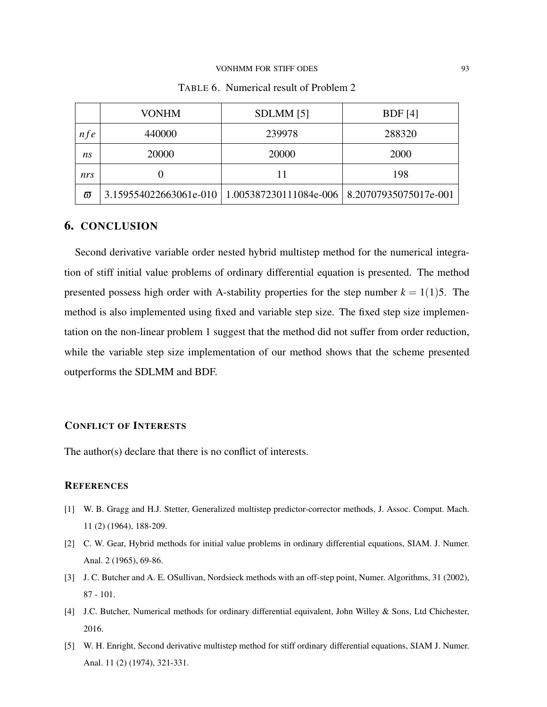#### VONHMM FOR STIFF ODES 93

|          | VONHM  | SDLMM [5]                                                               | BDF[4]      |
|----------|--------|-------------------------------------------------------------------------|-------------|
| nfe      | 440000 | 239978                                                                  | 288320      |
| ns       | 20000  | 20000                                                                   | <b>2000</b> |
| nrs      |        | 11                                                                      | 198         |
| $\varpi$ |        | 3.159554022663061e-010   1.005387230111084e-006   8.20707935075017e-001 |             |

TABLE 6. Numerical result of Problem 2

### 6. CONCLUSION

Second derivative variable order nested hybrid multistep method for the numerical integration of stiff initial value problems of ordinary differential equation is presented. The method presented possess high order with A-stability properties for the step number  $k = 1(1)5$ . The method is also implemented using fixed and variable step size. The fixed step size implementation on the non-linear problem 1 suggest that the method did not suffer from order reduction, while the variable step size implementation of our method shows that the scheme presented outperforms the SDLMM and BDF.

#### CONFLICT OF INTERESTS

The author(s) declare that there is no conflict of interests.

### **REFERENCES**

- [1] W. B. Gragg and H.J. Stetter, Generalized multistep predictor-corrector methods, J. Assoc. Comput. Mach. 11 (2) (1964), 188-209.
- [2] C. W. Gear, Hybrid methods for initial value problems in ordinary differential equations, SIAM. J. Numer. Anal. 2 (1965), 69-86.
- [3] J. C. Butcher and A. E. OSullivan, Nordsieck methods with an off-step point, Numer. Algorithms, 31 (2002), 87 - 101.
- [4] J.C. Butcher, Numerical methods for ordinary differential equivalent, John Willey & Sons, Ltd Chichester, 2016.
- [5] W. H. Enright, Second derivative multistep method for stiff ordinary differential equations, SIAM J. Numer. Anal. 11 (2) (1974), 321-331.